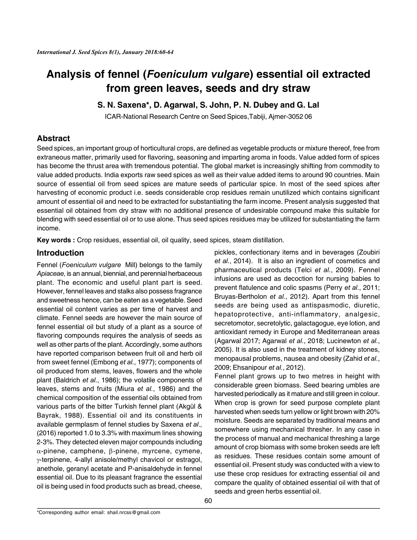# **Analysis of fennel (***Foeniculum vulgare***) essential oil extracted from green leaves, seeds and dry straw**

## **S. N. Saxena\*, D. Agarwal, S. John, P. N. Dubey and G. Lal**

ICAR-National Research Centre on Seed Spices,Tabiji, Ajmer-3052 06

# **Abstract**

Seed spices, an important group of horticultural crops, are defined as vegetable products or mixture thereof, free from extraneous matter, primarily used for flavoring, seasoning and imparting aroma in foods. Value added form of spices has become the thrust area with tremendous potential. The global market is increasingly shifting from commodity to value added products. India exports raw seed spices as well as their value added items to around 90 countries. Main source of essential oil from seed spices are mature seeds of particular spice. In most of the seed spices after harvesting of economic product i.e. seeds considerable crop residues remain unutilized which contains significant amount of essential oil and need to be extracted for substantiating the farm income. Present analysis suggested that essential oil obtained from dry straw with no additional presence of undesirable compound make this suitable for blending with seed essential oil or to use alone. Thus seed spices residues may be utilized for substantiating the farm income.

**Key words :** Crop residues, essential oil, oil quality, seed spices, steam distillation.

## **Introduction**

Fennel (*Foeniculum vulgare* Mill) belongs to the family *Apiaceae,* is an annual, biennial, and perennial herbaceous plant. The economic and useful plant part is seed. However, fennel leaves and stalks also possess fragrance and sweetness hence, can be eaten as a vegetable. Seed essential oil content varies as per time of harvest and climate. Fennel seeds are however the main source of fennel essential oil but study of a plant as a source of flavoring compounds requires the analysis of seeds as well as other parts of the plant. Accordingly, some authors have reported comparison between fruit oil and herb oil from sweet fennel (Embong *et al.*, 1977); components of oil produced from stems, leaves, flowers and the whole plant (Baldrich *et al.*, 1986); the volatile components of leaves, stems and fruits (Miura *et al.*, 1986) and the chemical composition of the essential oils obtained from various parts of the bitter Turkish fennel plant (Akgül & Bayrak, 1988). Essential oil and its constituents in available germplasm of fennel studies by Saxena *et al.,* (2016) reported 1.0 to 3.3% with maximum lines showing 2-3%. They detected eleven major compounds including  $\alpha$ -pinene, camphene,  $\beta$ -pinene, myrcene, cymene,  $\gamma$ -terpinene, 4-allyl anisole/methyl chavicol or estragol, anethole, geranyl acetate and P-anisaldehyde in fennel essential oil. Due to its pleasant fragrance the essential oil is being used in food products such as bread, cheese,

pickles, confectionary items and in beverages (Zoubiri *et al.*, 2014). It is also an ingredient of cosmetics and pharmaceutical products (Telci *et al.*, 2009). Fennel infusions are used as decoction for nursing babies to prevent flatulence and colic spasms (Perry *et al.*, 2011; Bruyas-Bertholon *et al.*, 2012). Apart from this fennel seeds are being used as antispasmodic, diuretic, hepatoprotective, anti-inflammatory, analgesic, secretomotor, secretolytic, galactagogue, eye lotion, and antioxidant remedy in Europe and Mediterranean areas (Agarwal 2017; Agarwal *et al.*, 2018; Lucinewton *et al.*, 2005). It is also used in the treatment of kidney stones, menopausal problems, nausea and obesity (Zahid *et al.*, 2009; Ehsanipour *et al.*, 2012).

Fennel plant grows up to two metres in height with considerable green biomass. Seed bearing umbles are harvested periodically as it mature and still green in colour. When crop is grown for seed purpose complete plant harvested when seeds turn yellow or light brown with 20% moisture. Seeds are separated by traditional means and somewhere using mechanical thresher. In any case in the process of manual and mechanical threshing a large amount of crop biomass with some broken seeds are left as residues. These residues contain some amount of essential oil. Present study was conducted with a view to use these crop residues for extracting essential oil and compare the quality of obtained essential oil with that of seeds and green herbs essential oil.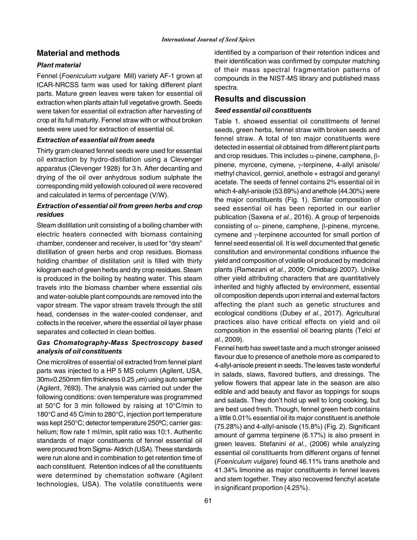## **Material and methods**

#### *Plant material*

Fennel (*Foeniculum vulgare* Mill) variety AF-1 grown at ICAR-NRCSS farm was used for taking different plant parts. Mature green leaves were taken for essential oil extraction when plants attain full vegetative growth. Seeds were taken for essential oil extraction after harvesting of crop at its full maturity. Fennel straw with or without broken seeds were used for extraction of essential oil.

#### *Extraction of essential oil from seeds*

Thirty gram cleaned fennel seeds were used for essential oil extraction by hydro-distillation using a Clevenger apparatus (Clevenger 1928) for 3 h. After decanting and drying of the oil over anhydrous sodium sulphate the corresponding mild yellowish coloured oil were recovered and calculated in terms of percentage (V/W).

#### *Extraction of essential oil from green herbs and crop residues*

Steam distillation unit consisting of a boiling chamber with electric heaters connected with biomass containing chamber, condenser and receiver, is used for "dry steam" distillation of green herbs and crop residues. Biomass holding chamber of distillation unit is filled with thirty kilogram each of green herbs and dry crop residues. Steam is produced in the boiling by heating water. This steam travels into the biomass chamber where essential oils and water-soluble plant compounds are removed into the vapor stream. The vapor stream travels through the still head, condenses in the water-cooled condenser, and collects in the receiver, where the essential oil layer phase separates and collected in clean bottles.

#### *Gas Chomatography-Mass Spectroscopy based analysis of oil constituents*

One microlitres of essential oil extracted from fennel plant parts was injected to a HP 5 MS column (Agilent, USA,  $30m\times0.250$ mm film thickness 0.25  $\mu$ m) using auto sampler (Agilent, 7693). The analysis was carried out under the following conditions: oven temperature was programmed at 50°C for 3 min followed by raising at 10°C/min to 180°C and 45 C/min to 280°C, injection port temperature was kept 250°C; detector temperature 250ºC; carrier gas: helium; flow rate 1 ml/min, split ratio was 10:1. Authentic standards of major constituents of fennel essential oil were procured from Sigma- Aldrich (USA). These standards were run alone and in combination to get retention time of each constituent. Retention indices of all the constituents were determined by chemstation software (Agilent technologies, USA). The volatile constituents were

identified by a comparison of their retention indices and their identification was confirmed by computer matching of their mass spectral fragmentation patterns of compounds in the NIST-MS library and published mass spectra.

### **Results and discussion**

#### *Seed essential oil constituents*

Table 1. showed essential oil constitments of fennel seeds, green herbs, fennel straw with broken seeds and fennel straw. A total of ten major constituents were detected in essential oil obtained from different plant parts and crop residues. This includes  $\alpha$ -pinene, camphene,  $\beta$ pinene, myrcene, cymene,  $\gamma$ -terpinene, 4-allyl anisole/ methyl chavicol, gerniol, anethole + estragol and geranyl acetate. The seeds of fennel contains 2% essential oil in which 4-allyl-anisole (53.69%) and anethole (44.30%) were the major constituents (Fig. 1). Similar composition of seed essential oil has been reported in our earlier publication (Saxena *et al.*, 2016). A group of terpenoids consisting of  $\alpha$ - pinene, camphene,  $\beta$ -pinene, myrcene, cymene and  $\gamma$ -terpinene accounted for small portion of fennel seed essential oil. It is well documented that genetic constitution and environmental conditions influence the yield and composition of volatile oil produced by medicinal plants (Ramezani *et al.*, 2009; Omidbaigi 2007). Unlike other yield attributing characters that are quantitatively inherited and highly affected by environment, essential oil composition depends upon internal and external factors affecting the plant such as genetic structures and ecological conditions (Dubey *et al*., 2017). Agricultural practices also have critical effects on yield and oil composition in the essential oil bearing plants (Telci *et al.*, 2009).

Fennel herb has sweet taste and a much stronger aniseed flavour due to presence of anethole more as compared to 4-allyl-anisole present in seeds. The leaves taste wonderful in salads, slaws, flavored butters, and dressings. The yellow flowers that appear late in the season are also edible and add beauty and flavor as toppings for soups and salads. They don't hold up well to long cooking, but are best used fresh. Though, fennel green herb contains a little 0.01% essential oil its major constituent is anethole (75.28%) and 4-allyl-anisole (15.8%) (Fig. 2). Significant amount of gamma terpinene (6.17%) is also present in green leaves. Stefanini *et al.*, (2006) while analyzing essential oil constituents from different organs of fennel (*Foeniculum vulgare*) found 46.11% trans anethole and 41.34% limonine as major constituents in fennel leaves and stem together. They also recovered fenchyl acetate in significant proportion (4.25%).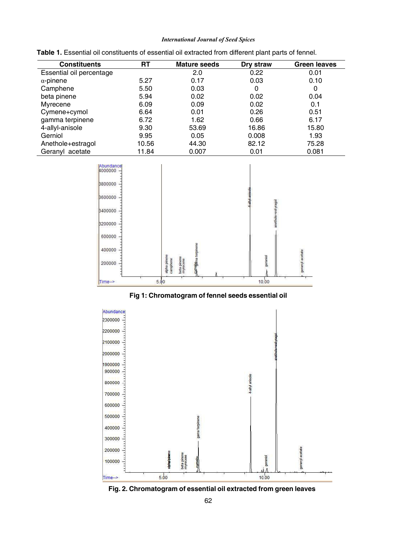#### *International Journal of Seed Spices*

| <b>Constituents</b>      | RT    | <b>Mature seeds</b> | Dry straw | <b>Green leaves</b> |
|--------------------------|-------|---------------------|-----------|---------------------|
| Essential oil percentage |       | 2.0                 | 0.22      | 0.01                |
| $\alpha$ -pinene         | 5.27  | 0.17                | 0.03      | 0.10                |
| Camphene                 | 5.50  | 0.03                | 0         | 0                   |
| beta pinene              | 5.94  | 0.02                | 0.02      | 0.04                |
| Myrecene                 | 6.09  | 0.09                | 0.02      | 0.1                 |
| Cymene+cymol             | 6.64  | 0.01                | 0.26      | 0.51                |
| gamma terpinene          | 6.72  | 1.62                | 0.66      | 6.17                |
| 4-allyl-anisole          | 9.30  | 53.69               | 16.86     | 15.80               |
| Gerniol                  | 9.95  | 0.05                | 0.008     | 1.93                |
| Anethole+estragol        | 10.56 | 44.30               | 82.12     | 75.28               |
| Geranyl acetate          | 11.84 | 0.007               | 0.01      | 0.081               |

|  |  | Table 1. Essential oil constituents of essential oil extracted from different plant parts of fennel. |  |  |  |  |  |
|--|--|------------------------------------------------------------------------------------------------------|--|--|--|--|--|
|--|--|------------------------------------------------------------------------------------------------------|--|--|--|--|--|



**Fig 1: Chromatogram of fennel seeds essential oil**



**Fig. 2. Chromatogram of essential oil extracted from green leaves**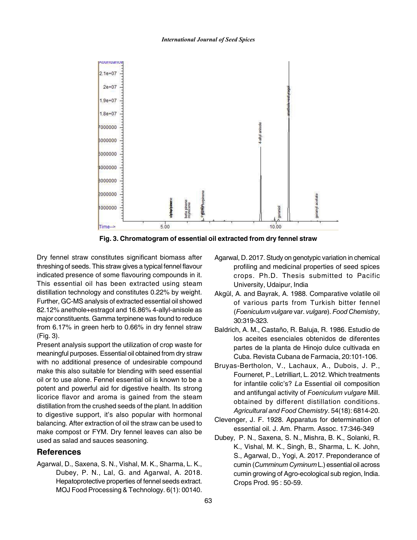#### *International Journal of Seed Spices*



**Fig. 3. Chromatogram of essential oil extracted from dry fennel straw**

Dry fennel straw constitutes significant biomass after threshing of seeds. This straw gives a typical fennel flavour indicated presence of some flavouring compounds in it. This essential oil has been extracted using steam distillation technology and constitutes 0.22% by weight. Further, GC-MS analysis of extracted essential oil showed 82.12% anethole+estragol and 16.86% 4-allyl-anisole as major constituents. Gamma terpinene was found to reduce from 6.17% in green herb to 0.66% in dry fennel straw (Fig. 3).

Present analysis support the utilization of crop waste for meaningful purposes. Essential oil obtained from dry straw with no additional presence of undesirable compound make this also suitable for blending with seed essential oil or to use alone. Fennel essential oil is known to be a potent and powerful aid for digestive health. Its strong licorice flavor and aroma is gained from the steam distillation from the crushed seeds of the plant. In addition to digestive support, it's also popular with hormonal balancing. After extraction of oil the straw can be used to make compost or FYM. Dry fennel leaves can also be used as salad and sauces seasoning.

#### **References**

Agarwal, D., Saxena, S. N., Vishal, M. K., Sharma, L. K., Dubey, P. N., Lal, G. and Agarwal, A. 2018. Hepatoprotective properties of fennel seeds extract. MOJ Food Processing & Technology. 6(1): 00140.

- Agarwal, D. 2017. Study on genotypic variation in chemical profiling and medicinal properties of seed spices crops. Ph.D. Thesis submitted to Pacific University, Udaipur, India
- Akgül, A. and Bayrak, A. 1988. Comparative volatile oil of various parts from Turkish bitter fennel (*Foeniculum vulgare* var. *vulgare*). *Food Chemistry*, 30:319-323.
- Baldrich, A. M., Castaño, R. Baluja, R. 1986. Estudio de los aceites esenciales obtenidos de diferentes partes de la planta de Hinojo dulce cultivada en Cuba. Revista Cubana de Farmacia, 20:101-106.
- Bruyas-Bertholon, V., Lachaux, A., Dubois, J. P., Fourneret, P., Letrilliart, L. 2012. Which treatments for infantile colic's? *La* Essential oil composition and antifungal activity of *Foeniculum vulgare* Mill. obtained by different distillation conditions. *Agricultural and Food Chemistry*. 54(18): 6814-20.
- Clevenger, J. F. 1928. Apparatus for determination of essential oil. J. Am. Pharm. Assoc. 17:346-349
- Dubey, P. N., Saxena, S. N., Mishra, B. K., Solanki, R. K., Vishal, M. K., Singh, B., Sharma, L. K. John, S., Agarwal, D., Yogi, A. 2017. Preponderance of cumin (*Cumminum Cyminum* L.) essential oil across cumin growing of Agro-ecological sub region, India. Crops Prod. 95 : 50-59.